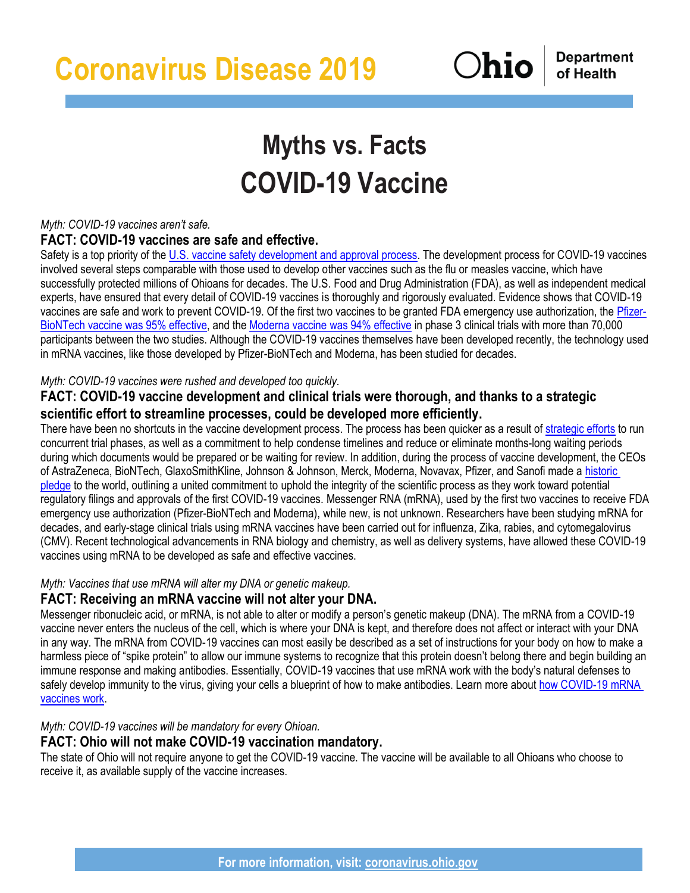**Department** of Health

# **Myths vs. Facts COVID-19 Vaccine**

## *Myth: COVID-19 vaccines aren't safe.*

## **FACT: COVID-19 vaccines are safe and effective.**

Safety is a top priority of the [U.S. vaccine safety development and approval process.](https://www.cdc.gov/vaccines/basics/test-approve.html) The development process for COVID-19 vaccines involved several steps comparable with those used to develop other vaccines such as the flu or measles vaccine, which have successfully protected millions of Ohioans for decades. The U.S. Food and Drug Administration (FDA), as well as independent medical experts, have ensured that every detail of COVID-19 vaccines is thoroughly and rigorously evaluated. Evidence shows that COVID-19 vaccines are safe and work to prevent COVID-19. Of the first two vaccines to be granted FDA emergency use authorization, the [Pfizer-](https://www.pfizer.com/news/press-release/press-release-detail/pfizer-and-biontech-conclude-phase-3-study-covid-19-vaccine)[BioNTech vaccine was 95% effective,](https://www.pfizer.com/news/press-release/press-release-detail/pfizer-and-biontech-conclude-phase-3-study-covid-19-vaccine) and the [Moderna vaccine was 94% effective](https://investors.modernatx.com/news-releases/news-release-details/moderna-announces-primary-efficacy-analysis-phase-3-cove-study/) in phase 3 clinical trials with more than 70,000 participants between the two studies. Although the COVID-19 vaccines themselves have been developed recently, the technology used in mRNA vaccines, like those developed by Pfizer-BioNTech and Moderna, has been studied for decades.

## *Myth: COVID-19 vaccines were rushed and developed too quickly.*

# **FACT: COVID-19 vaccine development and clinical trials were thorough, and thanks to a strategic scientific effort to streamline processes, could be developed more efficiently.**

There have been no shortcuts in the vaccine development process. The process has been quicker as a result of [strategic efforts](https://www.hhs.gov/coronavirus/explaining-operation-warp-speed/index.html) to run concurrent trial phases, as well as a commitment to help condense timelines and reduce or eliminate months-long waiting periods during which documents would be prepared or be waiting for review. In addition, during the process of vaccine development, the CEOs of AstraZeneca, BioNTech, GlaxoSmithKline, Johnson & Johnson, Merck, Moderna, Novavax, Pfizer, and Sanofi made a [historic](https://www.pfizer.com/health/coronavirus/pledge)  [pledge](https://www.pfizer.com/health/coronavirus/pledge) to the world, outlining a united commitment to uphold the integrity of the scientific process as they work toward potential regulatory filings and approvals of the first COVID-19 vaccines. Messenger RNA (mRNA), used by the first two vaccines to receive FDA emergency use authorization (Pfizer-BioNTech and Moderna), while new, is not unknown. Researchers have been studying mRNA for decades, and early-stage clinical trials using mRNA vaccines have been carried out for influenza, Zika, rabies, and cytomegalovirus (CMV). Recent technological advancements in RNA biology and chemistry, as well as delivery systems, have allowed these COVID-19 vaccines using mRNA to be developed as safe and effective vaccines.

## *Myth: Vaccines that use mRNA will alter my DNA or genetic makeup.*

# **FACT: Receiving an mRNA vaccine will not alter your DNA.**

Messenger ribonucleic acid, or mRNA, is not able to alter or modify a person's genetic makeup (DNA). The mRNA from a COVID-19 vaccine never enters the nucleus of the cell, which is where your DNA is kept, and therefore does not affect or interact with your DNA in any way. The mRNA from COVID-19 vaccines can most easily be described as a set of instructions for your body on how to make a harmless piece of "spike protein" to allow our immune systems to recognize that this protein doesn't belong there and begin building an immune response and making antibodies. Essentially, COVID-19 vaccines that use mRNA work with the body's natural defenses to safely develop immunity to the virus, giving your cells a blueprint of how to make antibodies. Learn more about how COVID-19 mRNA [vaccines work.](https://www.cdc.gov/coronavirus/2019-ncov/vaccines/different-vaccines/mrna.html)

# *Myth: COVID-19 vaccines will be mandatory for every Ohioan.*

# **FACT: Ohio will not make COVID-19 vaccination mandatory.**

The state of Ohio will not require anyone to get the COVID-19 vaccine. The vaccine will be available to all Ohioans who choose to receive it, as available supply of the vaccine increases.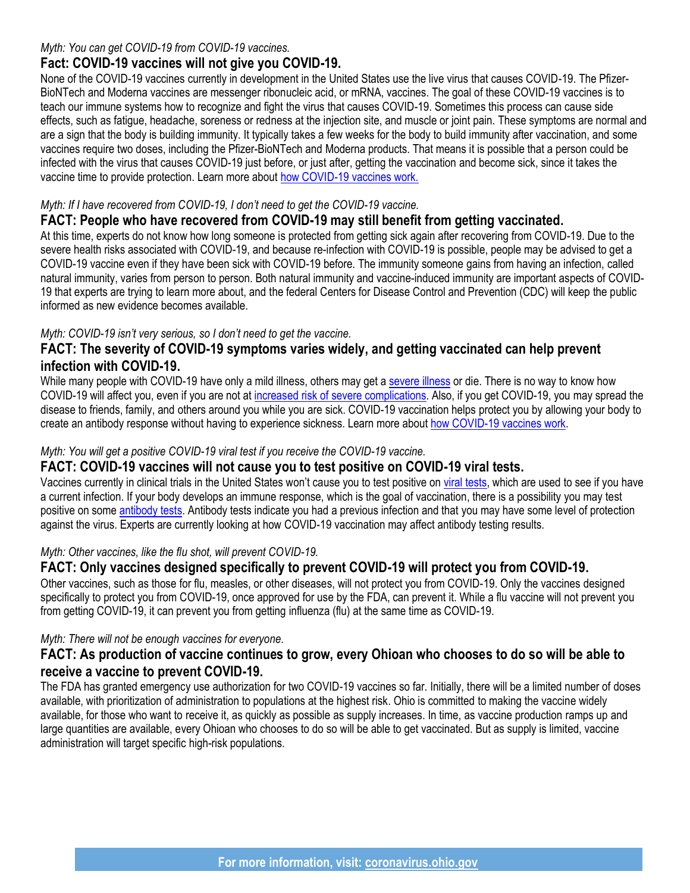#### *Myth: You can get COVID-19 from COVID-19 vaccines.*

## **Fact: COVID-19 vaccines will not give you COVID-19.**

None of the COVID-19 vaccines currently in development in the United States use the live virus that causes COVID-19. The Pfizer-BioNTech and Moderna vaccines are messenger ribonucleic acid, or mRNA, vaccines. The goal of these COVID-19 vaccines is to teach our immune systems how to recognize and fight the virus that causes COVID-19. Sometimes this process can cause side effects, such as fatigue, headache, soreness or redness at the injection site, and muscle or joint pain. These symptoms are normal and are a sign that the body is building immunity. It typically takes a few weeks for the body to build immunity after vaccination, and some vaccines require two doses, including the Pfizer-BioNTech and Moderna products. That means it is possible that a person could be infected with the virus that causes COVID-19 just before, or just after, getting the vaccination and become sick, since it takes the vaccine time to provide protection. Learn more about [how COVID-19 vaccines work.](https://www.cdc.gov/coronavirus/2019-ncov/vaccines/about-vaccines/how-they-work.html)

## *Myth: If I have recovered from COVID-19, I don't need to get the COVID-19 vaccine.*

# **FACT: People who have recovered from COVID-19 may still benefit from getting vaccinated.**

At this time, experts do not know how long someone is protected from getting sick again after recovering from COVID-19. Due to the severe health risks associated with COVID-19, and because re-infection with COVID-19 is possible, people may be advised to get a COVID-19 vaccine even if they have been sick with COVID-19 before. The immunity someone gains from having an infection, called natural immunity, varies from person to person. Both natural immunity and vaccine-induced immunity are important aspects of COVID-19 that experts are trying to learn more about, and the federal Centers for Disease Control and Prevention (CDC) will keep the public informed as new evidence becomes available.

#### *Myth: COVID-19 isn't very serious, so I don't need to get the vaccine.*

## **FACT: The severity of COVID-19 symptoms varies widely, and getting vaccinated can help prevent infection with COVID-19.**

While many people with COVID-19 have only a mild illness, others may get a [severe illness](https://www.cdc.gov/coronavirus/2019-ncov/symptoms-testing/symptoms.html) or die. There is no way to know how COVID-19 will affect you, even if you are not at [increased risk of severe complications.](https://www.cdc.gov/coronavirus/2019-ncov/need-extra-precautions/index.html) Also, if you get COVID-19, you may spread the disease to friends, family, and others around you while you are sick. COVID-19 vaccination helps protect you by allowing your body to create an antibody response without having to experience sickness. Learn more about [how COVID-19 vaccines work.](https://www.cdc.gov/coronavirus/2019-ncov/vaccines/about-vaccines/how-they-work.html)

#### *Myth: You will get a positive COVID-19 viral test if you receive the COVID-19 vaccine.*

## **FACT: COVID-19 vaccines will not cause you to test positive on COVID-19 viral tests.**

Vaccines currently in clinical trials in the United States won't cause you to test positive on [viral tests,](https://www.cdc.gov/coronavirus/2019-ncov/testing/diagnostic-testing.html) which are used to see if you have a current infection. If your body develops an immune response, which is the goal of vaccination, there is a possibility you may test positive on some [antibody tests.](https://www.cdc.gov/coronavirus/2019-ncov/testing/serology-overview.html) Antibody tests indicate you had a previous infection and that you may have some level of protection against the virus. Experts are currently looking at how COVID-19 vaccination may affect antibody testing results.

#### *Myth: Other vaccines, like the flu shot, will prevent COVID-19.*

# **FACT: Only vaccines designed specifically to prevent COVID-19 will protect you from COVID-19.**

Other vaccines, such as those for flu, measles, or other diseases, will not protect you from COVID-19. Only the vaccines designed specifically to protect you from COVID-19, once approved for use by the FDA, can prevent it. While a flu vaccine will not prevent you from getting COVID-19, it can prevent you from getting influenza (flu) at the same time as COVID-19.

## *Myth: There will not be enough vaccines for everyone.*

## **FACT: As production of vaccine continues to grow, every Ohioan who chooses to do so will be able to receive a vaccine to prevent COVID-19.**

The FDA has granted emergency use authorization for two COVID-19 vaccines so far. Initially, there will be a limited number of doses available, with prioritization of administration to populations at the highest risk. Ohio is committed to making the vaccine widely available, for those who want to receive it, as quickly as possible as supply increases. In time, as vaccine production ramps up and large quantities are available, every Ohioan who chooses to do so will be able to get vaccinated. But as supply is limited, vaccine administration will target specific high-risk populations.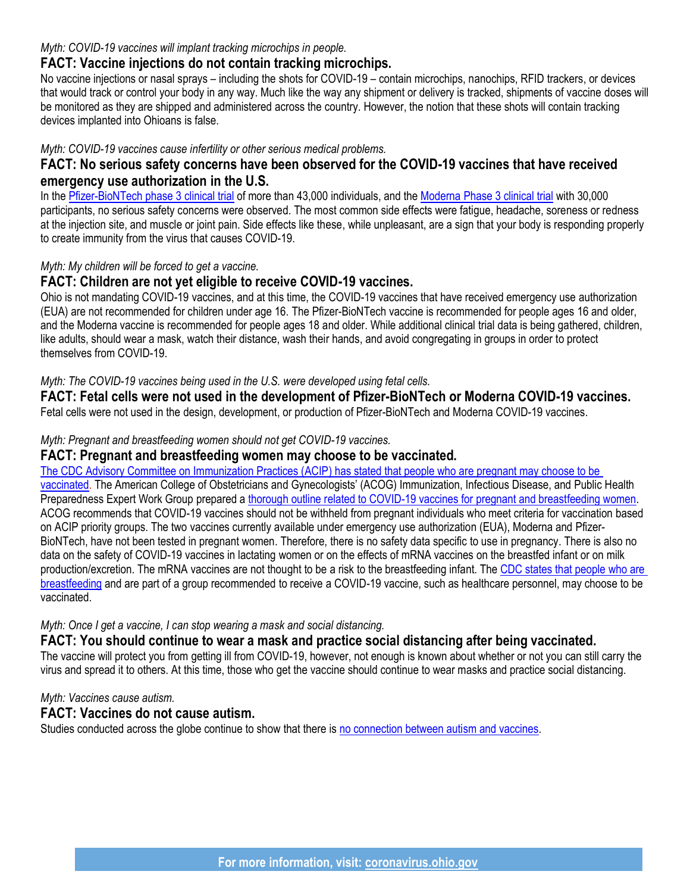#### *Myth: COVID-19 vaccines will implant tracking microchips in people.*

## **FACT: Vaccine injections do not contain tracking microchips.**

No vaccine injections or nasal sprays – including the shots for COVID-19 – contain microchips, nanochips, RFID trackers, or devices that would track or control your body in any way. Much like the way any shipment or delivery is tracked, shipments of vaccine doses will be monitored as they are shipped and administered across the country. However, the notion that these shots will contain tracking devices implanted into Ohioans is false.

#### *Myth: COVID-19 vaccines cause infertility or other serious medical problems.*

## **FACT: No serious safety concerns have been observed for the COVID-19 vaccines that have received emergency use authorization in the U.S.**

In the [Pfizer-BioNTech phase 3 clinical trial](https://www.pfizer.com/news/hot-topics/our_covid_19_vaccine_study_what_s_next) of more than 43,000 individuals, and the [Moderna Phase 3 clinical trial](https://investors.modernatx.com/news-releases/news-release-details/moderna-announces-primary-efficacy-analysis-phase-3-cove-study/) with 30,000 participants, no serious safety concerns were observed. The most common side effects were fatigue, headache, soreness or redness at the injection site, and muscle or joint pain. Side effects like these, while unpleasant, are a sign that your body is responding properly to create immunity from the virus that causes COVID-19.

#### *Myth: My children will be forced to get a vaccine.*

## **FACT: Children are not yet eligible to receive COVID-19 vaccines.**

Ohio is not mandating COVID-19 vaccines, and at this time, the COVID-19 vaccines that have received emergency use authorization (EUA) are not recommended for children under age 16. The Pfizer-BioNTech vaccine is recommended for people ages 16 and older, and the Moderna vaccine is recommended for people ages 18 and older. While additional clinical trial data is being gathered, children, like adults, should wear a mask, watch their distance, wash their hands, and avoid congregating in groups in order to protect themselves from COVID-19.

#### *Myth: The COVID-19 vaccines being used in the U.S. were developed using fetal cells.*

**FACT: Fetal cells were not used in the development of Pfizer-BioNTech or Moderna COVID-19 vaccines.**  Fetal cells were not used in the design, development, or production of Pfizer-BioNTech and Moderna COVID-19 vaccines.

#### *Myth: Pregnant and breastfeeding women should not get COVID-19 vaccines.*

## **FACT: Pregnant and breastfeeding women may choose to be vaccinated.**

[The CDC Advisory Committee on Immunization Practices \(ACIP\) has stated that people who are pregnant may choose to be](https://www.cdc.gov/coronavirus/2019-ncov/vaccines/recommendations/pregnancy.html)  [vaccinated.](https://www.cdc.gov/coronavirus/2019-ncov/vaccines/recommendations/pregnancy.html) The American College of Obstetricians and Gynecologists' (ACOG) Immunization, Infectious Disease, and Public Health Preparedness Expert Work Group prepared a [thorough outline related to COVID-19 vaccines for pregnant and breastfeeding women.](https://www.acog.org/clinical/clinical-guidance/practice-advisory/articles/2020/12/vaccinating-pregnant-and-lactating-patients-against-covid-19) ACOG recommends that COVID-19 vaccines should not be withheld from pregnant individuals who meet criteria for vaccination based on ACIP priority groups. The two vaccines currently available under emergency use authorization (EUA), Moderna and Pfizer-BioNTech, have not been tested in pregnant women. Therefore, there is no safety data specific to use in pregnancy. There is also no data on the safety of COVID-19 vaccines in lactating women or on the effects of mRNA vaccines on the breastfed infant or on milk production/excretion. The mRNA vaccines are not thought to be a risk to the breastfeeding infant. The CDC states that people who are [breastfeeding](https://www.cdc.gov/coronavirus/2019-ncov/vaccines/recommendations/pregnancy.html) and are part of a group recommended to receive a COVID-19 vaccine, such as healthcare personnel, may choose to be vaccinated.

#### *Myth: Once I get a vaccine, I can stop wearing a mask and social distancing.*

# **FACT: You should continue to wear a mask and practice social distancing after being vaccinated.**

The vaccine will protect you from getting ill from COVID-19, however, not enough is known about whether or not you can still carry the virus and spread it to others. At this time, those who get the vaccine should continue to wear masks and practice social distancing.

#### *Myth: Vaccines cause autism.*

## **FACT: Vaccines do not cause autism.**

Studies conducted across the globe continue to show that there is [no connection between autism and vaccines.](https://www.cdc.gov/vaccinesafety/concerns/autism.html)